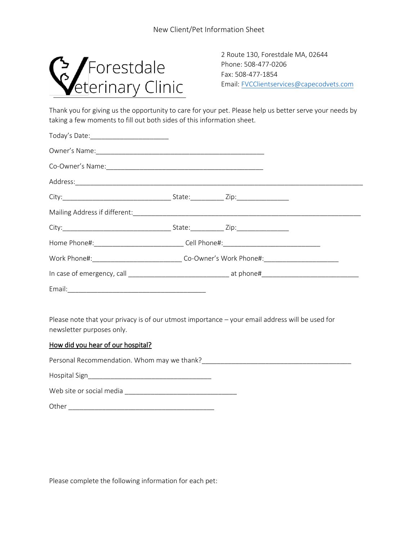

Phone: 508-477-0206 Fax: 508-477-1854 Email[: FVCClientservices@capecodvets.com](mailto:FVCClientservices@capecodvets.com)

Thank you for giving us the opportunity to care for your pet. Please help us better serve your needs by taking a few moments to fill out both sides of this information sheet.

| Home Phone#:_________________________________Cell Phone#:________________________                    |  |  |  |
|------------------------------------------------------------------------------------------------------|--|--|--|
| Work Phone#:__________________________________Co-Owner's Work Phone#:_______________________________ |  |  |  |
|                                                                                                      |  |  |  |
|                                                                                                      |  |  |  |

Please note that your privacy is of our utmost importance – your email address will be used for newsletter purposes only.

## How did you hear of our hospital?

Personal Recommendation. Whom may we thank?<br>

Hospital Sign\_\_\_\_\_\_\_\_\_\_\_\_\_\_\_\_\_\_\_\_\_\_\_\_\_\_\_\_\_\_\_\_\_

Web site or social media \_\_\_\_\_\_\_\_\_\_\_\_\_\_\_\_\_\_\_\_\_\_\_\_\_\_\_\_\_\_

Other \_\_\_\_\_\_\_\_\_\_\_\_\_\_\_\_\_\_\_\_\_\_\_\_\_\_\_\_\_\_\_\_\_\_\_\_\_\_\_

Please complete the following information for each pet: